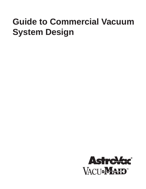# **Guide to Commercial Vacuum System Design**

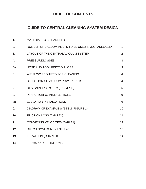# **TABLE OF CONTENTS**

# **GUIDE TO CENTRAL CLEANING SYSTEM DESIGN**

| 1.  | <b>MATERIAL TO BE HANDLED</b>                     | $\mathbf{1}$   |
|-----|---------------------------------------------------|----------------|
| 2.  | NUMBER OF VACUUM INLETS TO BE USED SIMULTANEOUSLY | $\mathbf{1}$   |
| 3.  | LAYOUT OF THE CENTRAL VACUUM SYSTEM               | $\overline{2}$ |
| 4.  | <b>PRESSURE LOSSES</b>                            | 3              |
| 4a. | HOSE AND TOOL FRICTION LOSS                       | 3              |
| 5.  | AIR FLOW REQUIRED FOR CLEANING                    | $\overline{4}$ |
| 6.  | SELECTION OF VACUUM POWER UNITS                   | $\overline{4}$ |
| 7.  | <b>DESIGNING A SYSTEM (EXAMPLE)</b>               | 5              |
| 8.  | PIPING/TUBING INSTALLATIONS                       | 9              |
| 8a. | <b>ELEVATION INSTALLATIONS</b>                    | 9              |
| 9.  | DIAGRAM OF EXAMPLE SYSTEM (FIGURE 1)              | 10             |
| 10. | <b>FRICTION LOSS (CHART I)</b>                    | 11             |
| 11. | <b>CONVEYING VELOCITIES (TABLE I)</b>             | 12             |
| 12. | DUTCH GOVERNMENT STUDY                            | 13             |
| 13. | <b>ELEVATION (CHART II)</b>                       | 14             |
| 14. | <b>TERMS AND DEFINITIONS</b>                      | 15             |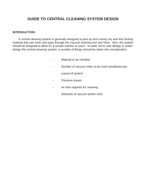# **GUIDE TO CENTRAL CLEANING SYSTEM DESIGN**

#### **INTRODUCTION:**

A central cleaning system is generally designed to pick up and convey dry and free flowing material that can enter and pass through the vacuum cleaning tool and hose. Also, the system should be designed to allow for a certain number of users. In order not to over-design or underdesign the central cleaning system, a number of things should be taken into consideration.

- Material to be handled
- Number of vacuum inlets to be used simultaneously
- Layout of system
- Pressure losses
- Air flow required for cleaning
- Selection of vacuum power units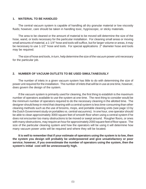#### **1. MATERIAL TO BE HANDLED**

The central vacuum system is capable of handling all dry granular material or low viscosity fluids; however, care should be taken in handling toxic, hygroscopic, or sticky materials.

The area to be cleaned or the amount of material to be moved will determine the size of the hose, wand, or tools necessary for the particular installation. For cleaning small areas or moving small amounts of material, a 1-1/4" hose and tools will suffice, but for larger volume or areas, it may be necessary to use 1-1/2" hose and tools. For special applications 2" diameter hose and tools may be required.

The size of hose and tools, in turn, help determine the size of the vacuum power unit necessary for the particular job.

## **2. NUMBER OF VACUUM OUTLETS TO BE USED SIMULTANEOUSLY**

The number of inlets in a given vacuum system has little to do with determining the size of power unit required for the installation. The number of inlets that will be in use at one time, however, does govern the design of the system.

If the vacuum system is primarily used for cleaning, the first thing to establish is the maximum number of operators available to use the system at one time. The next thing to consider would be the minimum number of operators required to do the necessary cleaning in the allotted time. The designer should keep in mind that cleaning with a central system is less time-consuming than other cleaning methods such as the use of brooms, mops, and portable cleaning units (see page 13 by the Dutch Government study on portables vs. central vacuumns). In one hour, one operator should be able to clean approximately 3000 square feet of smooth floor when using a central system if he does not encounter too many obstructions to be moved or swept around. Rougher floors, or ones with many obstructions, may require an hour for approximately 2000 square feet of floor space. The size of the particular cleaning system and how the operators will be using it will determine how many vacuum power units will be required and where they will be located.

**It is well to remember that if your estimate of operators using the system is to low, then the system you design will probably be underpowered and give unsatisfactory or poor service; however, if you overestimate the number of operators using the system, then the system's initial cost will be unnecessarily high.**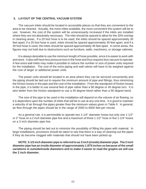#### **3. LAYOUT OF THE CENTRAL VACUUM SYSTEM**

The vacuum inlets should be located in accessible places so that they are convenient to the area to be cleaned. Actually, the more inlets available, the more convenient the system will be to use; however, the cost of the system will be unnecessarily increased if the inlets are installed where they are not absolutely necessary. The inlet should be spaced to allow for the 20% overlap in cleaning areas. If a 20 foot hose is to be used, the inlets should be spaced approximately 30 feet apart; if a 25 foot hose is used, inlets should be spaced approximately 30 feet apart; and if a 30 foot hose is used, the inlets should be spaced approximately 46 feet apart. In some areas, the figures may not hold due to obstructions such as furniture, walls, machinery, or storage cabinets.

It is always desirable to use the minimum length of hose possible, since it is easier to work with and store. It also will have less pressure loss in the hose and thus requires less vacuum to operate. A few extra wall inlets may make it possible to reduce the number or size of power units required for the installation. The cost of the extra piping and wall valves will have to be weighed against the cost of larger or additional power units.

The power units should be located in an area where they can be serviced conveniently and the piping should be laid out to require the minimum amount of pipe and fittings, thus minimizing the friction losses in the pipe and the cost of the installation. From the standpoint of friction losses in the pipe, it is better to use several feet of pipe rather than a 90 degree or 45 degree turn. It is also better from the friction standpoint to use a 45 degree bend rather than a 90 degree bend.

The size of the pipe to be used in the installation will depend on the volume of air flowing, so it is dependent upon the number of inlets that will be in use at any one time. It is good to maintain a velocitiy of air through the pipes greater than the minimum values given in Table II. In general, air flow through the pipes should be in the range of 2000 to 6000 feet per minute.

As a general rule, it is permissible to operate two 1-1/4" diameter hoses but only one 1-1/2" or 2" hose on a 2 inch diameter pipe line and a maximum of three 1-1/2" hose or five 1-1/4" hoses on a 3 inch diameter pipe line.

The piping should be laid out to minimize the possibility of filling the pipes with material. In large installations, provisions should be taken to see that there is a way of cleaning out the pipes if they do become clogged with materials that should not have been picked up.

**NOTE: 3-1/2 inch diameter pipe is referred to as 3 inch (inside) diameter pipe. The 2 inch diameter pipe has an inside diameter of approximately 1.875 inches so because of the small variations in outside/inside diameters and to make it easier to read the graphs we will use the 2 inch diameter.**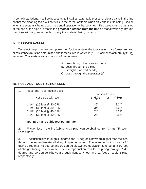In some installations, it will be necessary to install an automatic pressure release valve in the line so that the cleaning tools will not stick to the carpet or floors when only one inlet is being used or when the system is being used in a dental operation or barber shop. This valve must be installed at the end of the pipe run that is the **greatest distance from the unit** so that air velocity through the pipes will be great enough to carry the material being picked up.

# **4. PRESSURE LOSSES**

To select the proper vacuum power unit for the system, the total system loss (pressure drop or resistance) must be determined and is measured in water lift ("  ${\sf H}_2^{}$ O) or inches of mercury ("  ${\sf H}$ g) vacuum. The system losses consist of the following:

- A. Loss through the hose and tools
- B. Loss through the piping (straight runs and bends)
- C. Loss through the separator (s)

# **4a. HOSE AND TOOL FRICTION LOSS**

| 1. | Hose and Tool Friction Loss                                                                                                                            |                                 |                                  |
|----|--------------------------------------------------------------------------------------------------------------------------------------------------------|---------------------------------|----------------------------------|
|    | Hose size with tool                                                                                                                                    | <b>Friction Loses</b><br>(H, O) | or $("Hq)$                       |
|    | 1-1/4" $(25 \text{ feet } @ 40 \text{ CFM})$<br>1-1/4" (30 feet @ 80 CFM)<br>1-1/2" $(25 \text{ feet } @ 40 \text{ CFM})$<br>1-1/2" (30 feet @ 80 CFM) | 32"<br>34"<br>24"<br>26"        | 2.34"<br>4.65"<br>3.27"<br>3.56" |

## **NOTE: CFM is cubic feet per minute**

2. Friction loss in the line (tubing and piping) can be obtained from Chart I "Friction Loss Chart".

3. The friction loss through 45 degree and 90 degree elbows are higher than the loss through the same diameter of straight piping or tubing. The average friction loss for 2" tubing through 2" 45 degree and 90 degree elbows are equivalent to 5 feet and 10 feet of straight tubing, respectively. The average friction loss for 3" piping through 3" 45 degree and 90 degree elbows are equivalent to 7 feet and 12 feet of straight pipe respectively.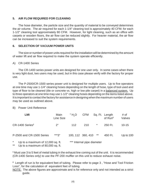## **5. AIR FLOW REQUIRED FOR CLEANING**

The hose diameter, the particle size and the quantity of material to be conveyed determines the air volume. The air required for each 1-1/4" cleaning tool is approximately 40 CFM; for each 1-1/2" cleaning tool approximately 80 CFM. However, for light cleaning, such as an office with carpets or wooden floors, the air flow can be reduced slightly. For heavier material, the air flow can be increased to suit the system requirements.

## **6. SELECTION OF VACUUM POWER UNITS**

The size or number of power units required for the installation will be determined by the amount of water lift and air flow required to make the system operate efficiently.

#### A) CR-1400 Series

The CR-1400 series power units are designed for one user only. In some cases when there is very light dust, two users may be used, but in this case please verify with the factory for proper use.

The P-2500/CR-1500 series power unit is designed for multiple users. Up to five operators at one time may use 1-1/4" cleaning hoses depending on the length of hose, type of tool used and type of floor to be cleaned (tile or concrete vs. high or low pile carpet) in a balanced system. Up to three operators at one time may use 1-1/2" cleaning hoses depending on the items listed above. It is important to contact the factory for assistance in designing when the maximum number of users may be used as outlined above.

#### B) Power Unit Reference

| <b>LMI</b>                                                                             | Main<br>Line Size | " $H2O$           | <b>CFM</b>                 |    | Sq. Ft. Length<br>of Run <sup>2</sup> | # of<br>Valves |
|----------------------------------------------------------------------------------------|-------------------|-------------------|----------------------------|----|---------------------------------------|----------------|
| CR-1400 Series <sup>1</sup>                                                            | 2"                | 112               | 210                        | *  | 250 Ft.                               | $10 - 15$      |
| P-2500 and CR-1500 Series                                                              | ***3"             | 100, 112 360, 410 |                            | ** | 450 Ft.                               | Up to $100$    |
| $\ast$<br>Up to a maximum of 12,000 sq. ft.<br>Up to a maximum of 80,000 sq. ft.<br>** |                   |                   | *** Internal pipe diameter |    |                                       |                |

**1** Must use 3 to 5 feet of metal tubing in the exhaust line coming out of the unit. It is recommended (CR-1400 Series only) to use the PF-200 muffler on this unit to reduce exhaust noise.

**2** Length of run is for equivalent feet of tubing. Please refer to page 3 , "Hose and Tool Friction Loss", for the calculation of equivalent feet of tubing.

NOTE: The above figures are approximate and is for reference only and not intended as a strict guide.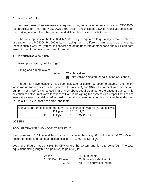#### C. Number of Units

In some cases when two users are required it may be more economical to use two CR-1400's (separate system) than one P-2500/CR-1500. Also, if one unit goes down for repair you could hook the working unit into the other system and still be able to clean for both areas.

The same applies for the P-2500/CR-1500. If a job requires a larger unit you may be able to use two or more P-2500/CR-1500 units by placing them in different cleaning zones and arrange them in such a way that you could connect one of the units into another zone and still clean both areas if one of the units goes down for repair.

### **7. DESIGNING A SYSTEM**

(example - See Figure 1 - Page 10)

Piping and tubing layout:

Legend: [7] - Inlet valves

 $\blacksquare$  -Inlet valves selected for calculation (A,B,and C)

Three Inlet valve locations have been selected for design purpose, to establish the friction losses as well as line sizes for the system. Inlet valves (A) and (B) are the farthest from the vacuum pump. Inlet valve (C) is located in a branch about equal distance to the vacuum pump. This selection of active Inlet valve locations will aid in designing the system with proper line sizes to insure the system capability. After looking over the requirements for this plant we have decided to use a 1-1/2" x 25 foot hose size and tools.

Conversion from inches of mercury (Hg) to inches of water (H<sub>2</sub>O) as follows: 1" Hg =  $13.62$ " H<sub>2</sub>O or  $1"$  H<sub>2</sub>O  $= 0.0734$ " Hg

LOSSES

## TOOL ENTRANCE AND HOSE AT POINT (A)

From paragraph 4, "Hose and Tool Friction Loss" when handling 80 CFM using a 1-1/2" x 25 foot hose the hoses and tool total friction loss is -------<u>1.76" Hg (24" H<sub>2</sub>O)</u>

Looking at Figure I at point (A), 80 CFM enters the system and flows to point (D). The total equivalent piping length from point (A) to point (D) is:

| 2" line            | 28 Ft. in length                         |
|--------------------|------------------------------------------|
| 2 - 90 Deg. Elbows | 20 Ft. in equivalent length              |
| <b>TOTAL</b>       | $\overline{48}$ Ft. in equivalent length |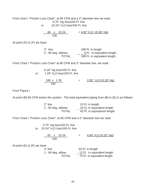From chart I "Friction Loss Chart", at 80 CFM and a 2" diameter line we read: 0.75" Hg loss/100 Ft. line or  $10.24"$  H $_{2}$ O loss/100 Ft. line

$$
\frac{48 \times 10.24}{100} = \frac{4.92'' \text{ H}_2\text{O} (0.36'' \text{ Hg})}{400}
$$

At point (D) to (F) we have:

| 3" line              | 198 Ft. in length            |
|----------------------|------------------------------|
| $0 - 90$ deg. elbows | 0 Ft. in equivalent length   |
| <b>TOTAL</b>         | 198 Ft. in equivalent length |

From Chart I "Friction Loss Chart" at 80 CFM and 3" diameter line, we read:

| or. | 0.18" Hg loss/100 Ft. line<br>1.29" H <sub>2</sub> O loss/100 Ft. line |  |                                        |
|-----|------------------------------------------------------------------------|--|----------------------------------------|
|     | 198 x 1.29<br>100                                                      |  | <u>2.55" H<sub>2</sub>O (0.19" Hg)</u> |

From Figure I

At point (B) 80 CFM enters the system. The total equivalent piping from (B) to (E) is as follows:

| 2" line            | 23 Ft. in length             |
|--------------------|------------------------------|
| 2 - 90 deg. elbows | 20 Ft. in equivalent length  |
| <b>TOTAL</b>       | 43 Ft. in equivalvent length |

From Chart I "Friction Loss Chart", at 80 CFM and a 2" diameter line we read:

 0.75" Hg loss/100 Ft. line or  $-$  10.24"  $\mathsf{H}_{\tiny 2} \mathsf{O}$  loss/100 Ft. line

> $43 \times 10.24$  =  $4.40" \text{ H}_2\text{O}$  (0.32" Hg) 100

At point  $(E)$  to  $(F)$  we have:

| 3" line             | 63 Ft. in length            |
|---------------------|-----------------------------|
| $1 - 90$ deg. elbow | 12 Ft. in equivalent length |
| <b>TOTAL</b>        | 75 Ft. in equivalent length |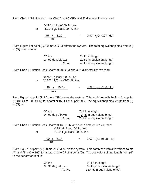From Chart I "Friction and Loss Chart", at 80 CFM and 3" diameter line we read:

$$
0.18" Hg loss/100 \text{ Ft. line}
$$
\nor

\n
$$
1.29" H2O loss/100 \text{ Ft. line}
$$

 $75 \times 1.29$  =  $0.97" \text{ H}_2\text{O} (0.07" \text{ Hg})$ 100

From Figure I at point (C) 80 more CFM enters the system. The total equivalent piping from (C) to (G) is as follows:

| 2" line            | 28 Ft. in length            |
|--------------------|-----------------------------|
| 2 - 90 deg. elbows | 20 Ft. in equivalent length |
| <b>TOTAL</b>       | 48 Ft. in equivalent length |

From Chart I "Friction Loss Chart" at 80 CFM and a 2" diameter line we read:

| or | 0.75" Hg loss/100 Ft. line<br>10.24" H <sub>2</sub> O loss/100 Ft. line |     |                                   |
|----|-------------------------------------------------------------------------|-----|-----------------------------------|
|    | 48 x 10.24<br>100.                                                      | $=$ | 4.92" H <sub>2</sub> O (0.36" Hg) |

From Figure I at point (F) 80 more CFM enters the system. This combines with the flow from point (B) (80 CFM + 80 CFM) for a total of 160 CFM at point (F). The equivalent piping length from (F) to (G) is:

| 3" line             | 20 Ft. in length            |
|---------------------|-----------------------------|
| $0 - 90$ deg elbows | 0 Ft. in equivalent length  |
| <b>TOTAL</b>        | 20 Ft. in equivalent length |

From Chart I "Friction Loss Chart" at 160 CFM and a 3" diameter line we read: 0.38" Hg loss/100 Ft. line or  $5.17" H<sub>2</sub>O loss/100$  Ft. line

> $20 \times 5.17$  =  $1.03'' H<sub>2</sub>O (0.08'' Hg)$ 100

From Figure I at point (G) 80 more CFM enters the system. This combines with a flow from points (A) and (B) (80 + 160) for a total of 240 CFM at point (G). The equivalent piping length from (G) to the separator inlet is:

| 3" line            | 94 Ft. in length             |
|--------------------|------------------------------|
| 3 - 90 deg. elbows | 36 Ft. in equivalent length  |
| <b>TOTAL</b>       | 130 Ft. in equivalent length |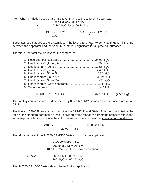From Chart I "Friction Loss Chart" at 240 CFM and a 3" diameter line we read: 0.90" Hg loss/100 Ft. line or  $12.26"$  H<sub>2</sub>O loss/100 Ft. line

> $130 \times 12.26$  =  $15.94" H<sub>2</sub>O (1.17" Hg)$ 100

Separator loss is added to the system loss. The loss is <u>3.40" H<sub>2</sub>O\_(0.25" Hg)</u>. In general, the line between the separator and the vacuum pump is insignificant for all practical purposes.

Therefore, the total friction loss for the system is:

| <b>TOTAL SYSTEM LOSS</b> | 62.13" $H2O$ | $(4.56"$ Hg) |
|--------------------------|--------------|--------------|

The total system air volume is determined by 80 CFM/1-1/2" diameter hose x 3 operators =  $240$ CFM.

The figure of 240 CFM (at standard conditions is 29.92" Hg and 68 deg F) is then multiplied by the ratio of the standard barometric pressure divided by the standard barometric pressure minus the vacuum pump inlet vacuum in inches of  ${\sf H_2O}$  to obtain the volume under <u>inlet vacuum condititons.</u>

> 240 x 29.92 = 283.2 ICFM 29.92 - 4.56

Therefore we select the P-2500/CR-1500 Series pump for the application:

P-2500/CR-1500 Unit 360 to 380 CFM Airflow 100"  $H_2$ O Water Lift  $\oslash$  sealed conditions

| Check: | 360 CFM > 283.2 ICFM                            |  |  |
|--------|-------------------------------------------------|--|--|
|        | 100" H <sub>2</sub> O > 62.13" H <sub>2</sub> O |  |  |

The P-2500/CR-1500 Series should be ok for this application.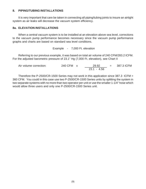#### **8. PIPING/TUBING INSTALLATIONS**

It is very important that care be taken in connecting all piping/tubing joints to insure an airtight system as air leaks will decrease the vacuum system efficiency.

#### **8a. ELEVATION INSTALLATIONS**

When a central vacuum system is to be installed at an elevation above sea level, corrections to the vacuum pump performance becomes necessary since the vacuum pump performance graphs and charts are based on standard sea level conditions.

Example - 7,000 Ft. elevation

Referring to our previous example, it was based on total air volume of 240 CFM/283.2 ICFM. For the adjusted barometric pressure of 23.1" Hg (7,000 Ft. elevation), see Chart II

| Air volume correction: | 240 CFM x |  | 29.92         | $= 387.3$ ICFM |
|------------------------|-----------|--|---------------|----------------|
|                        |           |  | $23.1 - 4.56$ |                |

Therefore the P-2500/CR-1500 Series may not work in this application since 387.3 ICFM > 360 CFM. You could in this case use two P-2500/CR-1500 Series units by splitting the system in two separate systems with no more than two operator per unit or use the smaller 1-1/4" hose which would allow three users and only one P-2500/CR-1500 Series unit.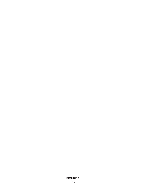## **FIGURE 1**  $(10)$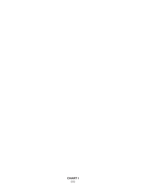**CHART I**  $(11)$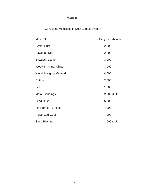# **TABLE I**

# Conveying Velocities in Dust Exhast System

| <b>Material</b>            | <b>Velocity Feet/Minute</b> |
|----------------------------|-----------------------------|
| Grain, Dust                | 2,000                       |
| Sawdust, Dry               | 2,000                       |
| Sawdust, Damp              | 3,000                       |
| Wood Shaving, Chips        | 3,000                       |
| Wood Hogging Material      | 4,000                       |
| Cotton                     | 2,000                       |
| Lint                       | 1,500                       |
| <b>Metal Grindings</b>     | 2,500 & Up                  |
| <b>Lead Dust</b>           | 5,000                       |
| <b>Fine Brass Turnings</b> | 4,000                       |
| <b>Pulverized Coal</b>     | 4,000                       |
| Sand Blasting              | 3,500 & Up                  |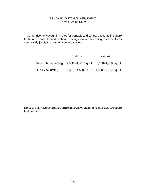#### STUDY BY DUTCH GOVERNMENT On Vacuuming Rates

Comparison of vacuuming rates for portable and central vacuums in square feet of office area cleaned per hour. Savings in annual cleaning costs for offices can quickly justify the cost of a central system.

|                                                                | Portable                                    | Central |
|----------------------------------------------------------------|---------------------------------------------|---------|
| Thorough Vacuuming 2,500 - 4,000 Sq. Ft. 3,150 - 4,800 Sq. Ft. |                                             |         |
| <b>Quick Vacuuming</b>                                         | 3,600 - 4,500 Sq. Ft. 4,800 - 6,000 Sq. Ft. |         |

Note: We plan systems based on a conservative vacuuming rate of 2000 square feet per hour.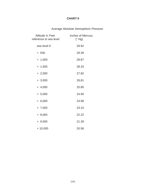# **CHART II**

# Average Absolute Atmospheric Pressure

| Altitude in Feet<br>reference to sea level | Inches of Mercury<br>("Hg) |
|--------------------------------------------|----------------------------|
| sea level 0                                | 29.92                      |
| $+ 500$                                    | 29.39                      |
| $+ 1,000$                                  | 28.87                      |
| $+ 1,500$                                  | 28.33                      |
| $+2,000$                                   | 27.82                      |
| $+3,000$                                   | 26.81                      |
| $+4,000$                                   | 25.85                      |
| $+ 5,000$                                  | 24.90                      |
| $+ 6,000$                                  | 23.98                      |
| $+ 7,000$                                  | 23.10                      |
| $+ 8,000$                                  | 22.22                      |
| $+9,000$                                   | 21.39                      |
| $+10,000$                                  | 20.58                      |